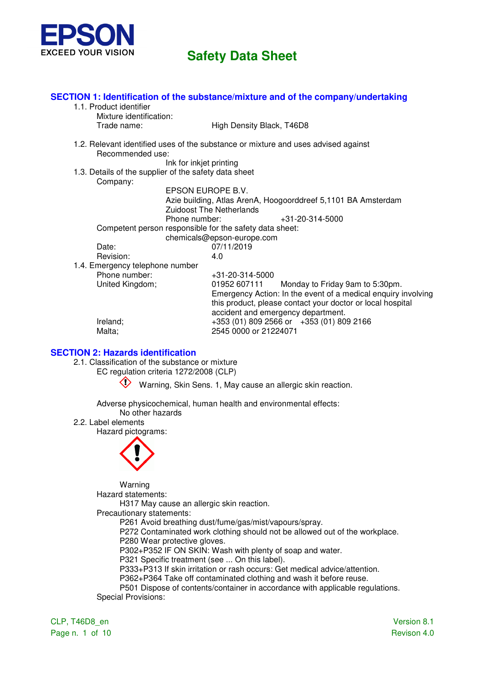

| 1.1. Product identifier<br>Mixture identification:      | SECTION 1: Identification of the substance/mixture and of the company/undertaking                                                                                 |
|---------------------------------------------------------|-------------------------------------------------------------------------------------------------------------------------------------------------------------------|
| Trade name:                                             | High Density Black, T46D8                                                                                                                                         |
| Recommended use:                                        | 1.2. Relevant identified uses of the substance or mixture and uses advised against                                                                                |
| Ink for inkjet printing                                 |                                                                                                                                                                   |
| 1.3. Details of the supplier of the safety data sheet   |                                                                                                                                                                   |
| Company:                                                |                                                                                                                                                                   |
|                                                         | EPSON EUROPE B.V.                                                                                                                                                 |
|                                                         | Azie building, Atlas ArenA, Hoogoorddreef 5,1101 BA Amsterdam                                                                                                     |
|                                                         | <b>Zuidoost The Netherlands</b>                                                                                                                                   |
| Phone number:                                           | +31-20-314-5000                                                                                                                                                   |
| Competent person responsible for the safety data sheet: |                                                                                                                                                                   |
|                                                         | chemicals@epson-europe.com                                                                                                                                        |
| Date:                                                   | 07/11/2019                                                                                                                                                        |
| Revision:                                               | 4.0                                                                                                                                                               |
| 1.4. Emergency telephone number                         |                                                                                                                                                                   |
| Phone number:                                           | +31-20-314-5000                                                                                                                                                   |
| United Kingdom;                                         | 01952 607111<br>Monday to Friday 9am to 5:30pm.                                                                                                                   |
|                                                         | Emergency Action: In the event of a medical enquiry involving<br>this product, please contact your doctor or local hospital<br>accident and emergency department. |
| Ireland;                                                | +353 (01) 809 2566 or +353 (01) 809 2166                                                                                                                          |
| Malta;                                                  | 2545 0000 or 21224071                                                                                                                                             |

#### **SECTION 2: Hazards identification**

2.1. Classification of the substance or mixture

EC regulation criteria 1272/2008 (CLP)

Warning, Skin Sens. 1, May cause an allergic skin reaction.

Adverse physicochemical, human health and environmental effects:

No other hazards

2.2. Label elements

Hazard pictograms:



Warning

Hazard statements:

H317 May cause an allergic skin reaction.

Precautionary statements:

P261 Avoid breathing dust/fume/gas/mist/vapours/spray.

P272 Contaminated work clothing should not be allowed out of the workplace.

P280 Wear protective gloves.

P302+P352 IF ON SKIN: Wash with plenty of soap and water.

P321 Specific treatment (see ... On this label).

P333+P313 If skin irritation or rash occurs: Get medical advice/attention.

P362+P364 Take off contaminated clothing and wash it before reuse.

P501 Dispose of contents/container in accordance with applicable regulations. Special Provisions:

CLP, T46D8\_en Version 8.1 Page n. 1 of 10 Revison 4.0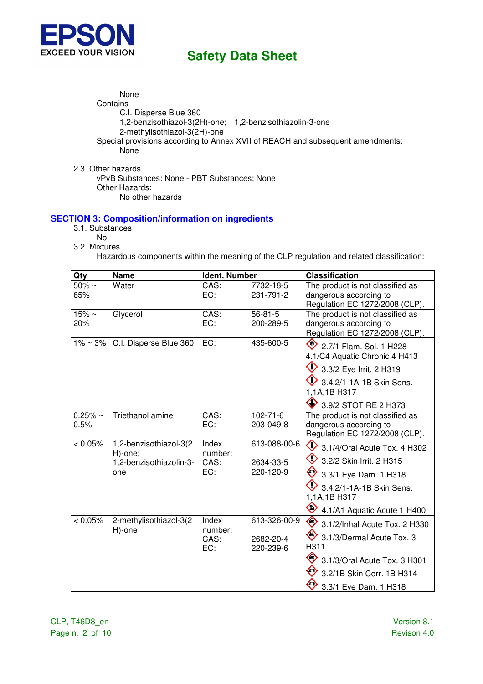

None **Contains** C.I. Disperse Blue 360 1,2-benzisothiazol-3(2H)-one; 1,2-benzisothiazolin-3-one 2-methylisothiazol-3(2H)-one Special provisions according to Annex XVII of REACH and subsequent amendments: None

2.3. Other hazards vPvB Substances: None - PBT Substances: None Other Hazards: No other hazards

#### **SECTION 3: Composition/information on ingredients**

- 3.1. Substances
- No
- 3.2. Mixtures

Hazardous components within the meaning of the CLP regulation and related classification:

| Qty            | <b>Name</b>                      | <b>Ident. Number</b> |                | <b>Classification</b>                                    |
|----------------|----------------------------------|----------------------|----------------|----------------------------------------------------------|
| $50\% \sim$    | Water                            | CAS:                 | 7732-18-5      | The product is not classified as                         |
| 65%            |                                  | EC:                  | 231-791-2      | dangerous according to<br>Regulation EC 1272/2008 (CLP). |
| $15% \sim$     | Glycerol                         | CAS:                 | $56 - 81 - 5$  | The product is not classified as                         |
| 20%            |                                  | EC:                  | 200-289-5      | dangerous according to                                   |
|                |                                  |                      |                | Regulation EC 1272/2008 (CLP).                           |
| $1\% \sim 3\%$ | C.I. Disperse Blue 360           | EC:                  | 435-600-5      | 2.7/1 Flam. Sol. 1 H228                                  |
|                |                                  |                      |                | 4.1/C4 Aquatic Chronic 4 H413                            |
|                |                                  |                      |                | 3.3/2 Eye Irrit. 2 H319                                  |
|                |                                  |                      |                | $\bigvee$ 3.4.2/1-1A-1B Skin Sens.                       |
|                |                                  |                      |                | 1,1A,1B H317                                             |
|                |                                  |                      |                | ◈<br>3.9/2 STOT RE 2 H373                                |
| $0.25% \sim$   | Triethanol amine                 | CAS:                 | $102 - 71 - 6$ | The product is not classified as                         |
| 0.5%           |                                  | EC:                  | 203-049-8      | dangerous according to                                   |
| < 0.05%        | 1,2-benzisothiazol-3(2           | Index                | 613-088-00-6   | Regulation EC 1272/2008 (CLP).                           |
|                | H)-one;                          | number:              |                | $\heartsuit$<br>3.1/4/Oral Acute Tox. 4 H302             |
|                | 1,2-benzisothiazolin-3-          | CAS:                 | 2634-33-5      | $\bigcirc$<br>3.2/2 Skin Irrit. 2 H315                   |
|                | one                              | EC:                  | 220-120-9      | ♦<br>3.3/1 Eye Dam. 1 H318                               |
|                |                                  |                      |                | 3.4.2/1-1A-1B Skin Sens.                                 |
|                |                                  |                      |                | 1,1A,1B H317                                             |
|                |                                  |                      |                | ♦<br>4.1/A1 Aquatic Acute 1 H400                         |
| < 0.05%        | 2-methylisothiazol-3(2<br>H)-one | Index<br>number:     | 613-326-00-9   | ◈<br>3.1/2/Inhal Acute Tox. 2 H330                       |
|                |                                  | CAS:                 | 2682-20-4      | 3.1/3/Dermal Acute Tox. 3                                |
|                |                                  | EC:                  | 220-239-6      | H311                                                     |
|                |                                  |                      |                | ◇<br>3.1/3/Oral Acute Tox. 3 H301                        |
|                |                                  |                      |                | ◆<br>3.2/1B Skin Corr. 1B H314                           |
|                |                                  |                      |                | ↔<br>3.3/1 Eye Dam. 1 H318                               |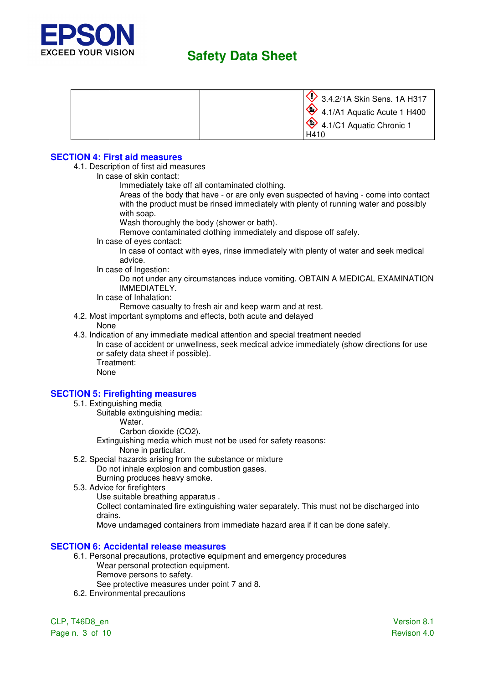

| $\leftrightarrow$ 4.1/C1 Aquatic Chronic 1<br>H410 | 3.4.2/1A Skin Sens. 1A H317            |
|----------------------------------------------------|----------------------------------------|
|                                                    | $\sqrt{4}$ 4.1/A1 Aquatic Acute 1 H400 |
|                                                    |                                        |

#### **SECTION 4: First aid measures**

- 4.1. Description of first aid measures
	- In case of skin contact:
		- Immediately take off all contaminated clothing.

Areas of the body that have - or are only even suspected of having - come into contact with the product must be rinsed immediately with plenty of running water and possibly with soap.

Wash thoroughly the body (shower or bath).

Remove contaminated clothing immediately and dispose off safely.

In case of eyes contact:

In case of contact with eyes, rinse immediately with plenty of water and seek medical advice.

In case of Ingestion:

Do not under any circumstances induce vomiting. OBTAIN A MEDICAL EXAMINATION IMMEDIATELY.

In case of Inhalation:

Remove casualty to fresh air and keep warm and at rest.

- 4.2. Most important symptoms and effects, both acute and delayed
	- None
- 4.3. Indication of any immediate medical attention and special treatment needed

In case of accident or unwellness, seek medical advice immediately (show directions for use or safety data sheet if possible). Treatment:

None

#### **SECTION 5: Firefighting measures**

- 5.1. Extinguishing media
	- Suitable extinguishing media:
		- Water.
			- Carbon dioxide (CO2).
		- Extinguishing media which must not be used for safety reasons:
			- None in particular.
- 5.2. Special hazards arising from the substance or mixture Do not inhale explosion and combustion gases. Burning produces heavy smoke.
- 5.3. Advice for firefighters
	- Use suitable breathing apparatus .

Collect contaminated fire extinguishing water separately. This must not be discharged into drains.

Move undamaged containers from immediate hazard area if it can be done safely.

#### **SECTION 6: Accidental release measures**

- 6.1. Personal precautions, protective equipment and emergency procedures Wear personal protection equipment. Remove persons to safety.
	- See protective measures under point 7 and 8.
- 6.2. Environmental precautions

CLP, T46D8\_en Version 8.1 Page n. 3 of 10 Revison 4.0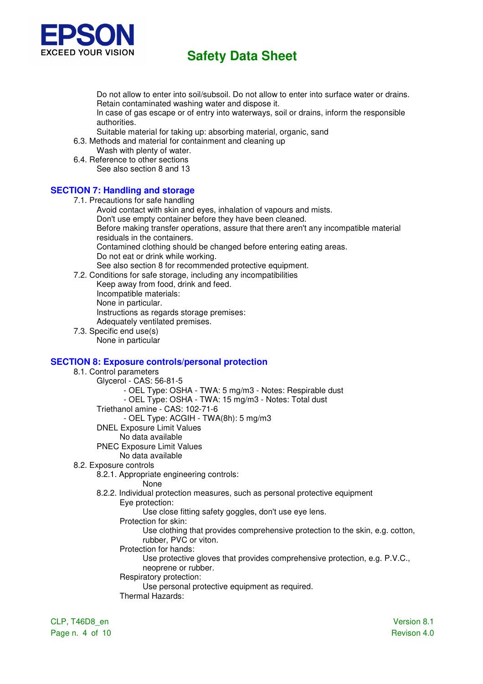

Do not allow to enter into soil/subsoil. Do not allow to enter into surface water or drains. Retain contaminated washing water and dispose it.

In case of gas escape or of entry into waterways, soil or drains, inform the responsible authorities.

Suitable material for taking up: absorbing material, organic, sand

6.3. Methods and material for containment and cleaning up Wash with plenty of water.

6.4. Reference to other sections

See also section 8 and 13

## **SECTION 7: Handling and storage**

- 7.1. Precautions for safe handling
	- Avoid contact with skin and eyes, inhalation of vapours and mists.
	- Don't use empty container before they have been cleaned.

Before making transfer operations, assure that there aren't any incompatible material residuals in the containers.

Contamined clothing should be changed before entering eating areas.

Do not eat or drink while working.

See also section 8 for recommended protective equipment.

- 7.2. Conditions for safe storage, including any incompatibilities
	- Keep away from food, drink and feed.

Incompatible materials:

None in particular.

Instructions as regards storage premises: Adequately ventilated premises.

7.3. Specific end use(s)

None in particular

### **SECTION 8: Exposure controls/personal protection**

8.1. Control parameters Glycerol - CAS: 56-81-5 - OEL Type: OSHA - TWA: 5 mg/m3 - Notes: Respirable dust - OEL Type: OSHA - TWA: 15 mg/m3 - Notes: Total dust Triethanol amine - CAS: 102-71-6 - OEL Type: ACGIH - TWA(8h): 5 mg/m3 DNEL Exposure Limit Values No data available PNEC Exposure Limit Values No data available 8.2. Exposure controls 8.2.1. Appropriate engineering controls: None 8.2.2. Individual protection measures, such as personal protective equipment Eye protection: Use close fitting safety goggles, don't use eye lens. Protection for skin: Use clothing that provides comprehensive protection to the skin, e.g. cotton,

rubber, PVC or viton.

Protection for hands:

Use protective gloves that provides comprehensive protection, e.g. P.V.C., neoprene or rubber.

Respiratory protection:

Use personal protective equipment as required.

Thermal Hazards:

CLP, T46D8\_en Version 8.1 Page n. 4 of 10 Revison 4.0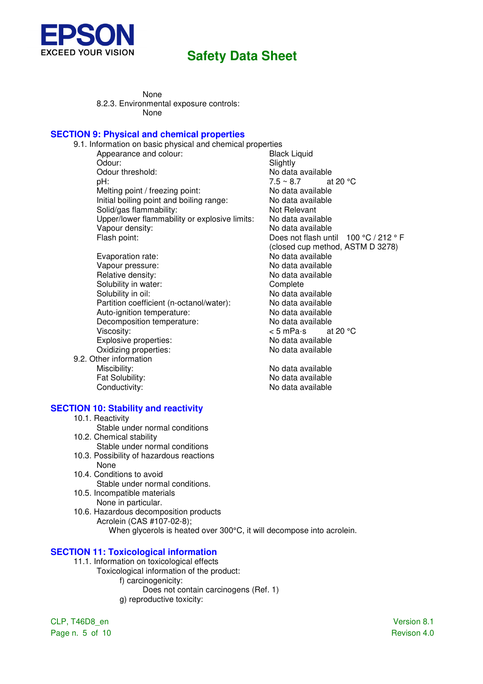

None 8.2.3. Environmental exposure controls: None

#### **SECTION 9: Physical and chemical properties**

| 9.1. Information on basic physical and chemical properties |                                       |
|------------------------------------------------------------|---------------------------------------|
| Appearance and colour:                                     | <b>Black Liquid</b>                   |
| Odour:                                                     | Slightly                              |
| Odour threshold:                                           | No data available                     |
| pH:                                                        | $7.5 \sim 8.7$<br>at 20 $\degree$ C   |
| Melting point / freezing point:                            | No data available                     |
| Initial boiling point and boiling range:                   | No data available                     |
| Solid/gas flammability:                                    | Not Relevant                          |
| Upper/lower flammability or explosive limits:              | No data available                     |
| Vapour density:                                            | No data available                     |
| Flash point:                                               | Does not flash until 100 °C / 212 ° F |
|                                                            | (closed cup method, ASTM D 3278)      |
| Evaporation rate:                                          | No data available                     |
| Vapour pressure:                                           | No data available                     |
| Relative density:                                          | No data available                     |
| Solubility in water:                                       | Complete                              |
| Solubility in oil:                                         | No data available                     |
| Partition coefficient (n-octanol/water):                   | No data available                     |
| Auto-ignition temperature:                                 | No data available                     |
| Decomposition temperature:                                 | No data available                     |
| Viscosity:                                                 | < 5 mPa∙s<br>at 20 $\degree$ C        |
| Explosive properties:                                      | No data available                     |
| Oxidizing properties:                                      | No data available                     |
| 9.2. Other information                                     |                                       |

No data available

Miscibility:<br>
Fat Solubility:<br>
Fat Solubility:<br>
No data available Fat Solubility:<br>
Conductivity:<br>
Conductivity:<br>
Conductivity:

#### **SECTION 10: Stability and reactivity**

- 10.1. Reactivity
- Stable under normal conditions
- 10.2. Chemical stability
	- Stable under normal conditions
- 10.3. Possibility of hazardous reactions None
- 10.4. Conditions to avoid Stable under normal conditions.
- 10.5. Incompatible materials None in particular.
- 10.6. Hazardous decomposition products Acrolein (CAS #107-02-8); When glycerols is heated over 300°C, it will decompose into acrolein.

### **SECTION 11: Toxicological information**

- 11.1. Information on toxicological effects
	- Toxicological information of the product:
		- f) carcinogenicity:
		- Does not contain carcinogens (Ref. 1) g) reproductive toxicity:

CLP, T46D8\_en Version 8.1 Page n. 5 of 10 Revison 4.0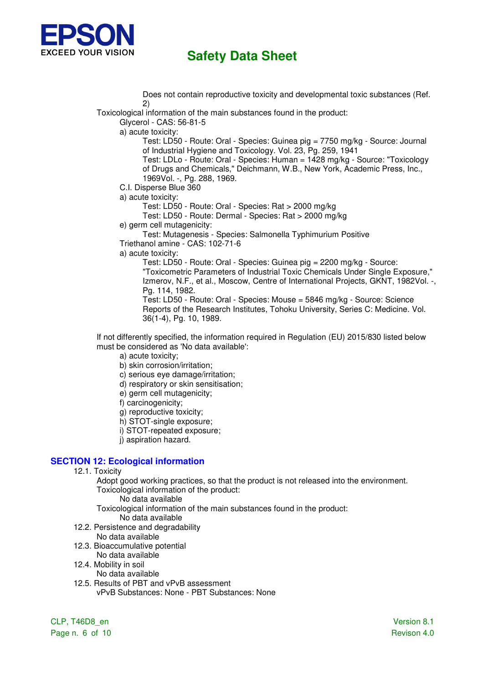

 Does not contain reproductive toxicity and developmental toxic substances (Ref. 2)

Toxicological information of the main substances found in the product:

Glycerol - CAS: 56-81-5

a) acute toxicity:

Test: LD50 - Route: Oral - Species: Guinea pig = 7750 mg/kg - Source: Journal of Industrial Hygiene and Toxicology. Vol. 23, Pg. 259, 1941

Test: LDLo - Route: Oral - Species: Human = 1428 mg/kg - Source: "Toxicology of Drugs and Chemicals," Deichmann, W.B., New York, Academic Press, Inc., 1969Vol. -, Pg. 288, 1969.

C.I. Disperse Blue 360

a) acute toxicity:

Test: LD50 - Route: Oral - Species: Rat > 2000 mg/kg

Test: LD50 - Route: Dermal - Species: Rat > 2000 mg/kg

e) germ cell mutagenicity:

Test: Mutagenesis - Species: Salmonella Typhimurium Positive Triethanol amine - CAS: 102-71-6

a) acute toxicity:

Test: LD50 - Route: Oral - Species: Guinea pig = 2200 mg/kg - Source: "Toxicometric Parameters of Industrial Toxic Chemicals Under Single Exposure," Izmerov, N.F., et al., Moscow, Centre of International Projects, GKNT, 1982Vol. -, Pg. 114, 1982. Test: LD50 - Route: Oral - Species: Mouse = 5846 mg/kg - Source: Science

Reports of the Research Institutes, Tohoku University, Series C: Medicine. Vol. 36(1-4), Pg. 10, 1989.

If not differently specified, the information required in Regulation (EU) 2015/830 listed below must be considered as 'No data available':

a) acute toxicity;

- b) skin corrosion/irritation;
- c) serious eye damage/irritation;
- d) respiratory or skin sensitisation;
- e) germ cell mutagenicity;
- f) carcinogenicity;
- g) reproductive toxicity;
- h) STOT-single exposure;
- i) STOT-repeated exposure;
- j) aspiration hazard.

### **SECTION 12: Ecological information**

12.1. Toxicity

Adopt good working practices, so that the product is not released into the environment. Toxicological information of the product:

No data available

Toxicological information of the main substances found in the product:

- No data available
- 12.2. Persistence and degradability
	- No data available
- 12.3. Bioaccumulative potential
- No data available
- 12.4. Mobility in soil
	- No data available
- 12.5. Results of PBT and vPvB assessment vPvB Substances: None - PBT Substances: None

CLP, T46D8\_en Version 8.1 Page n. 6 of 10 Revison 4.0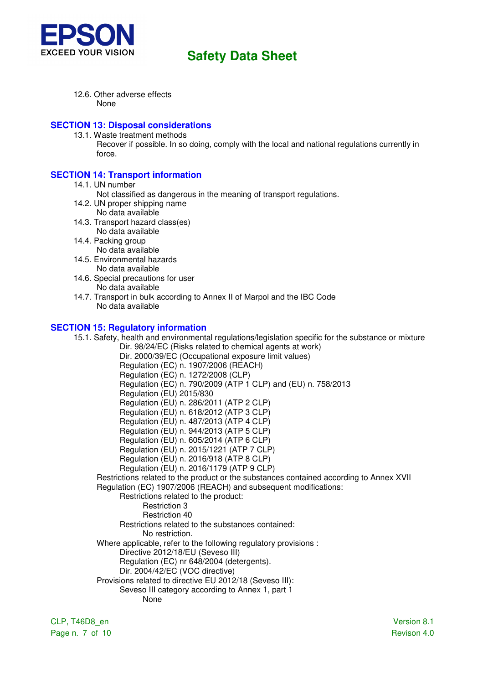

12.6. Other adverse effects None

#### **SECTION 13: Disposal considerations**

- 13.1. Waste treatment methods
	- Recover if possible. In so doing, comply with the local and national regulations currently in force.

### **SECTION 14: Transport information**

- 14.1. UN number
	- Not classified as dangerous in the meaning of transport regulations.
- 14.2. UN proper shipping name No data available
- 14.3. Transport hazard class(es) No data available
- 14.4. Packing group
	- No data available
- 14.5. Environmental hazards No data available
- 14.6. Special precautions for user No data available
- 14.7. Transport in bulk according to Annex II of Marpol and the IBC Code No data available

#### **SECTION 15: Regulatory information**

15.1. Safety, health and environmental regulations/legislation specific for the substance or mixture Dir. 98/24/EC (Risks related to chemical agents at work) Dir. 2000/39/EC (Occupational exposure limit values) Regulation (EC) n. 1907/2006 (REACH) Regulation (EC) n. 1272/2008 (CLP) Regulation (EC) n. 790/2009 (ATP 1 CLP) and (EU) n. 758/2013 Regulation (EU) 2015/830 Regulation (EU) n. 286/2011 (ATP 2 CLP) Regulation (EU) n. 618/2012 (ATP 3 CLP) Regulation (EU) n. 487/2013 (ATP 4 CLP) Regulation (EU) n. 944/2013 (ATP 5 CLP) Regulation (EU) n. 605/2014 (ATP 6 CLP) Regulation (EU) n. 2015/1221 (ATP 7 CLP) Regulation (EU) n. 2016/918 (ATP 8 CLP) Regulation (EU) n. 2016/1179 (ATP 9 CLP) Restrictions related to the product or the substances contained according to Annex XVII Regulation (EC) 1907/2006 (REACH) and subsequent modifications: Restrictions related to the product: Restriction 3 Restriction 40 Restrictions related to the substances contained: No restriction. Where applicable, refer to the following regulatory provisions : Directive 2012/18/EU (Seveso III) Regulation (EC) nr 648/2004 (detergents). Dir. 2004/42/EC (VOC directive) Provisions related to directive EU 2012/18 (Seveso III): Seveso III category according to Annex 1, part 1 None

Page n. 7 of 10 Revison 4.0

CLP, T46D8\_en Version 8.1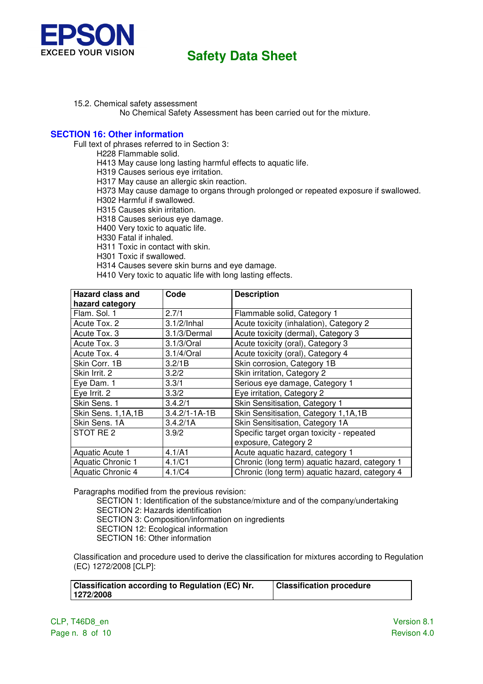

15.2. Chemical safety assessment

No Chemical Safety Assessment has been carried out for the mixture.

#### **SECTION 16: Other information**

Full text of phrases referred to in Section 3:

H228 Flammable solid.

H413 May cause long lasting harmful effects to aquatic life.

H319 Causes serious eye irritation.

H317 May cause an allergic skin reaction.

H373 May cause damage to organs through prolonged or repeated exposure if swallowed.

H302 Harmful if swallowed.

H315 Causes skin irritation.

H318 Causes serious eye damage.

H400 Very toxic to aquatic life.

H330 Fatal if inhaled.

H311 Toxic in contact with skin.

H301 Toxic if swallowed.

H314 Causes severe skin burns and eye damage.

H410 Very toxic to aquatic life with long lasting effects.

| <b>Hazard class and</b><br>hazard category | Code                | <b>Description</b>                             |
|--------------------------------------------|---------------------|------------------------------------------------|
| Flam. Sol. 1                               | 2.7/1               | Flammable solid, Category 1                    |
| Acute Tox. 2                               | $3.1/2/$ Inhal      | Acute toxicity (inhalation), Category 2        |
| Acute Tox. 3                               | 3.1/3/Dermal        | Acute toxicity (dermal), Category 3            |
| Acute Tox. 3                               | 3.1/3/Oral          | Acute toxicity (oral), Category 3              |
| Acute Tox. 4                               | 3.1/4/Oral          | Acute toxicity (oral), Category 4              |
| Skin Corr. 1B                              | 3.2/1B              | Skin corrosion, Category 1B                    |
| Skin Irrit. 2                              | 3.2/2               | Skin irritation, Category 2                    |
| Eye Dam. 1                                 | 3.3/1               | Serious eye damage, Category 1                 |
| Eye Irrit. 2                               | 3.3/2               | Eye irritation, Category 2                     |
| Skin Sens. 1                               | 3.4.2/1             | Skin Sensitisation, Category 1                 |
| Skin Sens. 1,1A,1B                         | $3.4.2/1 - 1A - 1B$ | Skin Sensitisation, Category 1,1A,1B           |
| Skin Sens. 1A                              | 3.4.2/1A            | Skin Sensitisation, Category 1A                |
| STOT RE <sub>2</sub>                       | 3.9/2               | Specific target organ toxicity - repeated      |
|                                            |                     | exposure, Category 2                           |
| Aquatic Acute 1                            | 4.1/A1              | Acute aquatic hazard, category 1               |
| Aquatic Chronic 1                          | 4.1/C1              | Chronic (long term) aquatic hazard, category 1 |
| Aquatic Chronic 4                          | 4.1/C4              | Chronic (long term) aquatic hazard, category 4 |

Paragraphs modified from the previous revision:

SECTION 1: Identification of the substance/mixture and of the company/undertaking SECTION 2: Hazards identification

SECTION 3: Composition/information on ingredients

SECTION 12: Ecological information

SECTION 16: Other information

Classification and procedure used to derive the classification for mixtures according to Regulation (EC) 1272/2008 [CLP]:

| <b>Classification according to Regulation (EC) Nr.</b> | <b>Classification procedure</b> |  |
|--------------------------------------------------------|---------------------------------|--|
| 1272/2008                                              |                                 |  |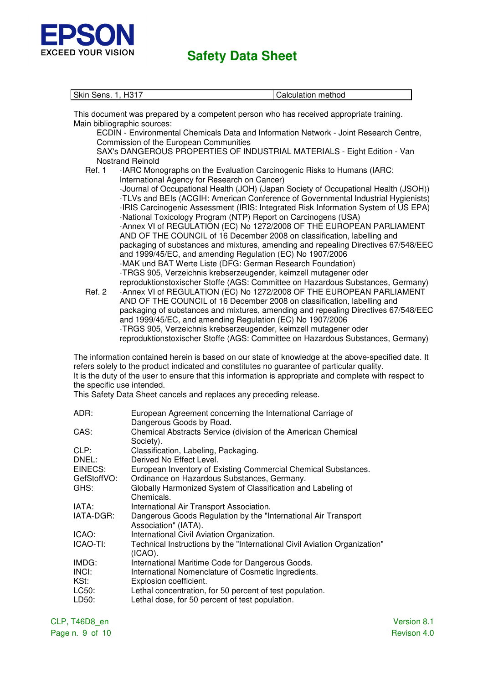

| Skin Sens. 1, H317 | Calculation method |
|--------------------|--------------------|
|                    |                    |

This document was prepared by a competent person who has received appropriate training. Main bibliographic sources:

ECDIN - Environmental Chemicals Data and Information Network - Joint Research Centre, Commission of the European Communities

SAX's DANGEROUS PROPERTIES OF INDUSTRIAL MATERIALS - Eight Edition - Van Nostrand Reinold

- Ref. 1 · IARC Monographs on the Evaluation Carcinogenic Risks to Humans (IARC: International Agency for Research on Cancer) ·Journal of Occupational Health (JOH) (Japan Society of Occupational Health (JSOH)) ·TLVs and BEIs (ACGIH: American Conference of Governmental Industrial Hygienists) ·IRIS Carcinogenic Assessment (IRIS: Integrated Risk Information System of US EPA) ·National Toxicology Program (NTP) Report on Carcinogens (USA) ·Annex VI of REGULATION (EC) No 1272/2008 OF THE EUROPEAN PARLIAMENT AND OF THE COUNCIL of 16 December 2008 on classification, labelling and packaging of substances and mixtures, amending and repealing Directives 67/548/EEC and 1999/45/EC, and amending Regulation (EC) No 1907/2006 ·MAK und BAT Werte Liste (DFG: German Research Foundation) ·TRGS 905, Verzeichnis krebserzeugender, keimzell mutagener oder reproduktionstoxischer Stoffe (AGS: Committee on Hazardous Substances, Germany) Ref. 2 ·Annex VI of REGULATION (EC) No 1272/2008 OF THE EUROPEAN PARLIAMENT
- AND OF THE COUNCIL of 16 December 2008 on classification, labelling and packaging of substances and mixtures, amending and repealing Directives 67/548/EEC and 1999/45/EC, and amending Regulation (EC) No 1907/2006 ·TRGS 905, Verzeichnis krebserzeugender, keimzell mutagener oder reproduktionstoxischer Stoffe (AGS: Committee on Hazardous Substances, Germany)

The information contained herein is based on our state of knowledge at the above-specified date. It refers solely to the product indicated and constitutes no guarantee of particular quality. It is the duty of the user to ensure that this information is appropriate and complete with respect to the specific use intended.

This Safety Data Sheet cancels and replaces any preceding release.

| ADR:         | European Agreement concerning the International Carriage of<br>Dangerous Goods by Road. |
|--------------|-----------------------------------------------------------------------------------------|
| CAS:         | Chemical Abstracts Service (division of the American Chemical<br>Society).              |
| CLP:         | Classification, Labeling, Packaging.                                                    |
| DNEL:        | Derived No Effect Level.                                                                |
| EINECS:      | European Inventory of Existing Commercial Chemical Substances.                          |
| GefStoffVO:  | Ordinance on Hazardous Substances, Germany.                                             |
| GHS:         | Globally Harmonized System of Classification and Labeling of<br>Chemicals.              |
| IATA:        | International Air Transport Association.                                                |
| IATA-DGR:    | Dangerous Goods Regulation by the "International Air Transport"<br>Association" (IATA). |
| ICAO:        | International Civil Aviation Organization.                                              |
| ICAO-TI:     | Technical Instructions by the "International Civil Aviation Organization"<br>$(ICAO)$ . |
| IMDG:        | International Maritime Code for Dangerous Goods.                                        |
| <b>INCI:</b> | International Nomenclature of Cosmetic Ingredients.                                     |
| KSt:         | Explosion coefficient.                                                                  |
| LC50:        | Lethal concentration, for 50 percent of test population.                                |
| LD50:        | Lethal dose, for 50 percent of test population.                                         |